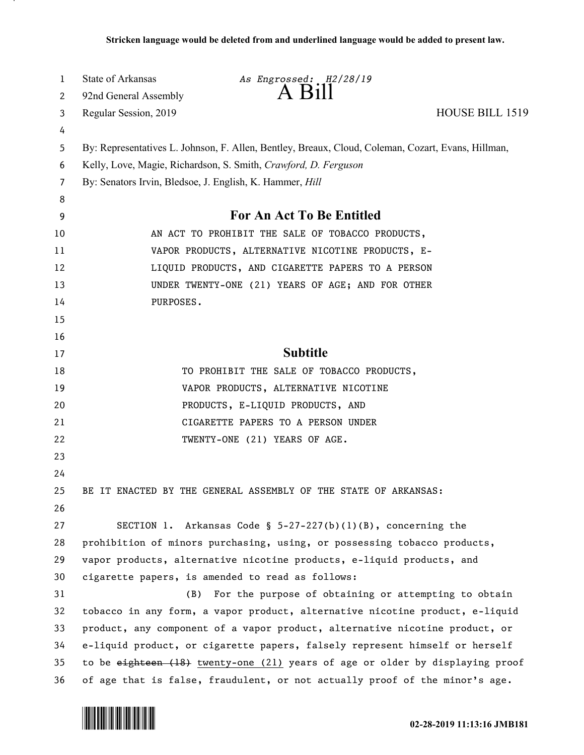| 1      | <b>State of Arkansas</b>                                                                                                                                                                                                                          | As Engrossed: H2/28/19<br>A Bill                                            |                 |
|--------|---------------------------------------------------------------------------------------------------------------------------------------------------------------------------------------------------------------------------------------------------|-----------------------------------------------------------------------------|-----------------|
| 2      | 92nd General Assembly                                                                                                                                                                                                                             |                                                                             |                 |
| 3      | Regular Session, 2019                                                                                                                                                                                                                             |                                                                             | HOUSE BILL 1519 |
| 4      |                                                                                                                                                                                                                                                   |                                                                             |                 |
| 5      | By: Representatives L. Johnson, F. Allen, Bentley, Breaux, Cloud, Coleman, Cozart, Evans, Hillman,<br>Kelly, Love, Magie, Richardson, S. Smith, Crawford, D. Ferguson                                                                             |                                                                             |                 |
| 6      |                                                                                                                                                                                                                                                   |                                                                             |                 |
| 7<br>8 | By: Senators Irvin, Bledsoe, J. English, K. Hammer, Hill                                                                                                                                                                                          |                                                                             |                 |
| 9      |                                                                                                                                                                                                                                                   | For An Act To Be Entitled                                                   |                 |
| 10     | AN ACT TO PROHIBIT THE SALE OF TOBACCO PRODUCTS,                                                                                                                                                                                                  |                                                                             |                 |
| 11     | VAPOR PRODUCTS, ALTERNATIVE NICOTINE PRODUCTS, E-                                                                                                                                                                                                 |                                                                             |                 |
| 12     | LIQUID PRODUCTS, AND CIGARETTE PAPERS TO A PERSON                                                                                                                                                                                                 |                                                                             |                 |
| 13     | UNDER TWENTY-ONE (21) YEARS OF AGE; AND FOR OTHER                                                                                                                                                                                                 |                                                                             |                 |
| 14     | PURPOSES.                                                                                                                                                                                                                                         |                                                                             |                 |
| 15     |                                                                                                                                                                                                                                                   |                                                                             |                 |
| 16     |                                                                                                                                                                                                                                                   |                                                                             |                 |
| 17     |                                                                                                                                                                                                                                                   | <b>Subtitle</b>                                                             |                 |
| 18     |                                                                                                                                                                                                                                                   | TO PROHIBIT THE SALE OF TOBACCO PRODUCTS,                                   |                 |
| 19     |                                                                                                                                                                                                                                                   | VAPOR PRODUCTS, ALTERNATIVE NICOTINE                                        |                 |
| 20     |                                                                                                                                                                                                                                                   | PRODUCTS, E-LIQUID PRODUCTS, AND                                            |                 |
| 21     |                                                                                                                                                                                                                                                   | CIGARETTE PAPERS TO A PERSON UNDER                                          |                 |
| 22     |                                                                                                                                                                                                                                                   | TWENTY-ONE (21) YEARS OF AGE.                                               |                 |
| 23     |                                                                                                                                                                                                                                                   |                                                                             |                 |
| 24     |                                                                                                                                                                                                                                                   |                                                                             |                 |
| 25     |                                                                                                                                                                                                                                                   | BE IT ENACTED BY THE GENERAL ASSEMBLY OF THE STATE OF ARKANSAS:             |                 |
| 26     |                                                                                                                                                                                                                                                   |                                                                             |                 |
| 27     |                                                                                                                                                                                                                                                   | SECTION 1. Arkansas Code § $5-27-227(b)(1)(B)$ , concerning the             |                 |
| 28     | prohibition of minors purchasing, using, or possessing tobacco products,                                                                                                                                                                          |                                                                             |                 |
| 29     | vapor products, alternative nicotine products, e-liquid products, and                                                                                                                                                                             |                                                                             |                 |
| 30     | cigarette papers, is amended to read as follows:                                                                                                                                                                                                  |                                                                             |                 |
| 31     | (B)                                                                                                                                                                                                                                               | For the purpose of obtaining or attempting to obtain                        |                 |
| 32     | tobacco in any form, a vapor product, alternative nicotine product, e-liquid                                                                                                                                                                      |                                                                             |                 |
| 33     | product, any component of a vapor product, alternative nicotine product, or                                                                                                                                                                       |                                                                             |                 |
| 34     | e-liquid product, or cigarette papers, falsely represent himself or herself                                                                                                                                                                       |                                                                             |                 |
| 35     | to be $e^{i}$ and $e^{i}$ and $e^{i}$ and $e^{i}$ and $e^{i}$ and $e^{i}$ and $e^{i}$ and $e^{i}$ and $e^{i}$ and $e^{i}$ and $e^{i}$ and $e^{i}$ and $e^{i}$ and $e^{i}$ and $e^{i}$ and $e^{i}$ and $e^{i}$ and $e^{i}$ and $e^{i}$ and $e^{i}$ |                                                                             |                 |
| 36     |                                                                                                                                                                                                                                                   | of age that is false, fraudulent, or not actually proof of the minor's age. |                 |

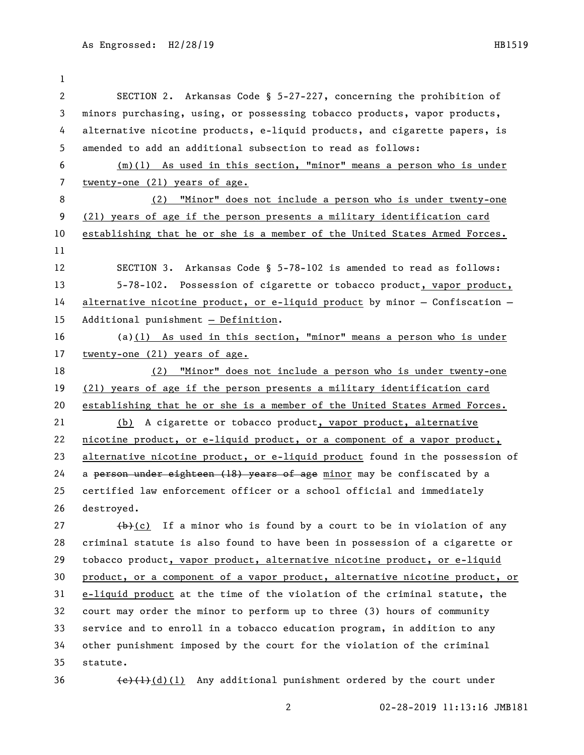| $\mathbf 1$  |                                                                              |  |  |
|--------------|------------------------------------------------------------------------------|--|--|
| $\mathbf{2}$ | SECTION 2. Arkansas Code § 5-27-227, concerning the prohibition of           |  |  |
| 3            | minors purchasing, using, or possessing tobacco products, vapor products,    |  |  |
| 4            | alternative nicotine products, e-liquid products, and cigarette papers, is   |  |  |
| 5            | amended to add an additional subsection to read as follows:                  |  |  |
| 6            | $(m)(1)$ As used in this section, "minor" means a person who is under        |  |  |
| 7            | twenty-one (21) years of age.                                                |  |  |
| 8            | (2) "Minor" does not include a person who is under twenty-one                |  |  |
| 9            | (21) years of age if the person presents a military identification card      |  |  |
| 10           | establishing that he or she is a member of the United States Armed Forces.   |  |  |
| 11           |                                                                              |  |  |
| 12           | SECTION 3. Arkansas Code § 5-78-102 is amended to read as follows:           |  |  |
| 13           | 5-78-102. Possession of cigarette or tobacco product, vapor product,         |  |  |
| 14           | alternative nicotine product, or e-liquid product by minor - Confiscation -  |  |  |
| 15           | Additional punishment $-$ Definition.                                        |  |  |
| 16           | (a) $(1)$ As used in this section, "minor" means a person who is under       |  |  |
| 17           | twenty-one (21) years of age.                                                |  |  |
| 18           | (2) "Minor" does not include a person who is under twenty-one                |  |  |
| 19           | (21) years of age if the person presents a military identification card      |  |  |
| 20           | establishing that he or she is a member of the United States Armed Forces.   |  |  |
| 21           | (b) A cigarette or tobacco product, vapor product, alternative               |  |  |
| 22           | nicotine product, or e-liquid product, or a component of a vapor product,    |  |  |
| 23           | alternative nicotine product, or e-liquid product found in the possession of |  |  |
| 24           | a person under eighteen (18) years of age minor may be confiscated by a      |  |  |
| 25           | certified law enforcement officer or a school official and immediately       |  |  |
| 26           | destroyed.                                                                   |  |  |
| 27           | $(b)+(c)$ If a minor who is found by a court to be in violation of any       |  |  |
| 28           | criminal statute is also found to have been in possession of a cigarette or  |  |  |
| 29           | tobacco product, vapor product, alternative nicotine product, or e-liquid    |  |  |
| 30           | product, or a component of a vapor product, alternative nicotine product, or |  |  |
| 31           | e-liquid product at the time of the violation of the criminal statute, the   |  |  |
| 32           | court may order the minor to perform up to three (3) hours of community      |  |  |

33 service and to enroll in a tobacco education program, in addition to any 34 other punishment imposed by the court for the violation of the criminal 35 statute.

36  $(e)$  (1)(d)(1) Any additional punishment ordered by the court under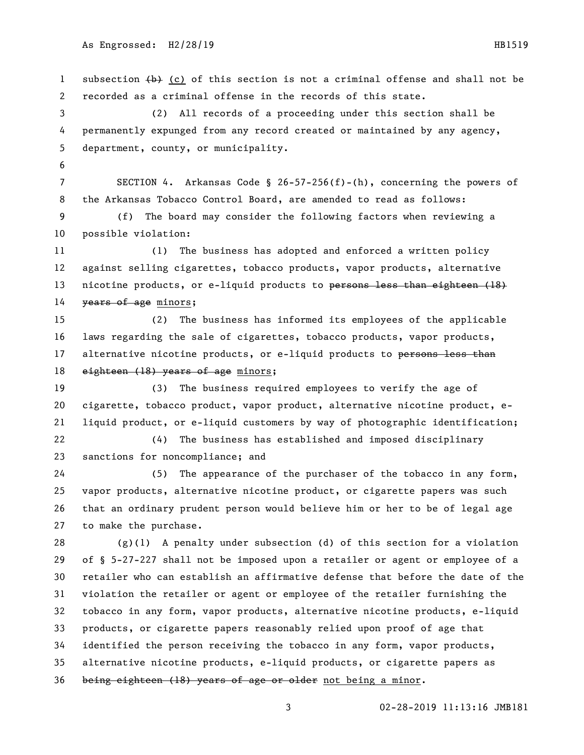1 subsection  $\{\rightarrow\}$  (c) of this section is not a criminal offense and shall not be recorded as a criminal offense in the records of this state. (2) All records of a proceeding under this section shall be permanently expunged from any record created or maintained by any agency, department, county, or municipality. SECTION 4. Arkansas Code § 26-57-256(f)-(h), concerning the powers of the Arkansas Tobacco Control Board, are amended to read as follows: (f) The board may consider the following factors when reviewing a possible violation: (1) The business has adopted and enforced a written policy against selling cigarettes, tobacco products, vapor products, alternative 13 nicotine products, or e-liquid products to persons less than eighteen (18) 14 years of age minors; (2) The business has informed its employees of the applicable laws regarding the sale of cigarettes, tobacco products, vapor products, 17 alternative nicotine products, or e-liquid products to persons less than 18 eighteen (18) years of age minors; (3) The business required employees to verify the age of cigarette, tobacco product, vapor product, alternative nicotine product, e- liquid product, or e-liquid customers by way of photographic identification; (4) The business has established and imposed disciplinary sanctions for noncompliance; and (5) The appearance of the purchaser of the tobacco in any form, vapor products, alternative nicotine product, or cigarette papers was such that an ordinary prudent person would believe him or her to be of legal age to make the purchase. (g)(1) A penalty under subsection (d) of this section for a violation of § 5-27-227 shall not be imposed upon a retailer or agent or employee of a retailer who can establish an affirmative defense that before the date of the violation the retailer or agent or employee of the retailer furnishing the tobacco in any form, vapor products, alternative nicotine products, e-liquid products, or cigarette papers reasonably relied upon proof of age that identified the person receiving the tobacco in any form, vapor products, alternative nicotine products, e-liquid products, or cigarette papers as 36 being eighteen (18) years of age or older not being a minor.

02-28-2019 11:13:16 JMB181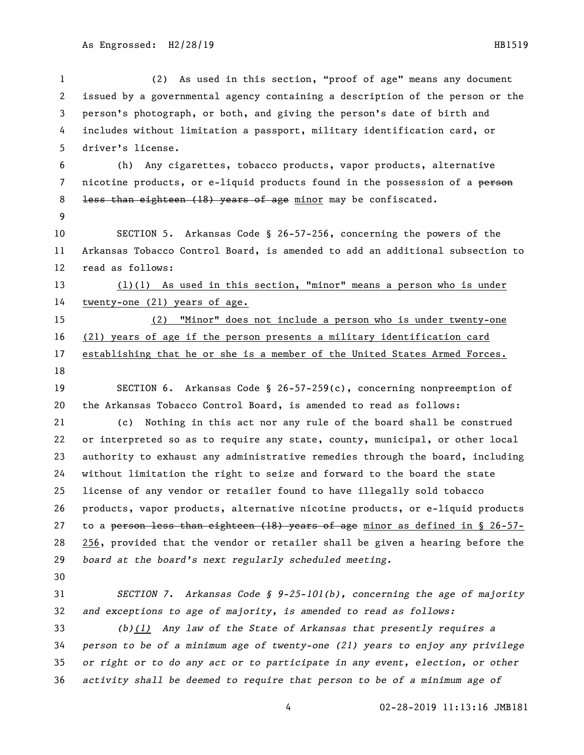(2) As used in this section, "proof of age" means any document issued by a governmental agency containing a description of the person or the person's photograph, or both, and giving the person's date of birth and includes without limitation a passport, military identification card, or driver's license.

 (h) Any cigarettes, tobacco products, vapor products, alternative 7 nicotine products, or e-liquid products found in the possession of a person 8 <del>less than eighteen (18) years of age</del> minor may be confiscated.

 SECTION 5. Arkansas Code § 26-57-256, concerning the powers of the Arkansas Tobacco Control Board, is amended to add an additional subsection to read as follows:

 (l)(1) As used in this section, "minor" means a person who is under twenty-one (21) years of age.

 (2) "Minor" does not include a person who is under twenty-one (21) years of age if the person presents a military identification card establishing that he or she is a member of the United States Armed Forces. 

 SECTION 6. Arkansas Code § 26-57-259(c), concerning nonpreemption of the Arkansas Tobacco Control Board, is amended to read as follows:

 (c) Nothing in this act nor any rule of the board shall be construed or interpreted so as to require any state, county, municipal, or other local authority to exhaust any administrative remedies through the board, including without limitation the right to seize and forward to the board the state license of any vendor or retailer found to have illegally sold tobacco products, vapor products, alternative nicotine products, or e-liquid products 27 to a person less than eighteen (18) years of age minor as defined in § 26-57- 256, provided that the vendor or retailer shall be given a hearing before the *board at the board's next regularly scheduled meeting.*

 *SECTION 7. Arkansas Code § 9-25-101(b), concerning the age of majority and exceptions to age of majority, is amended to read as follows:*

 *(b)(1) Any law of the State of Arkansas that presently requires a person to be of a minimum age of twenty-one (21) years to enjoy any privilege or right or to do any act or to participate in any event, election, or other activity shall be deemed to require that person to be of a minimum age of*